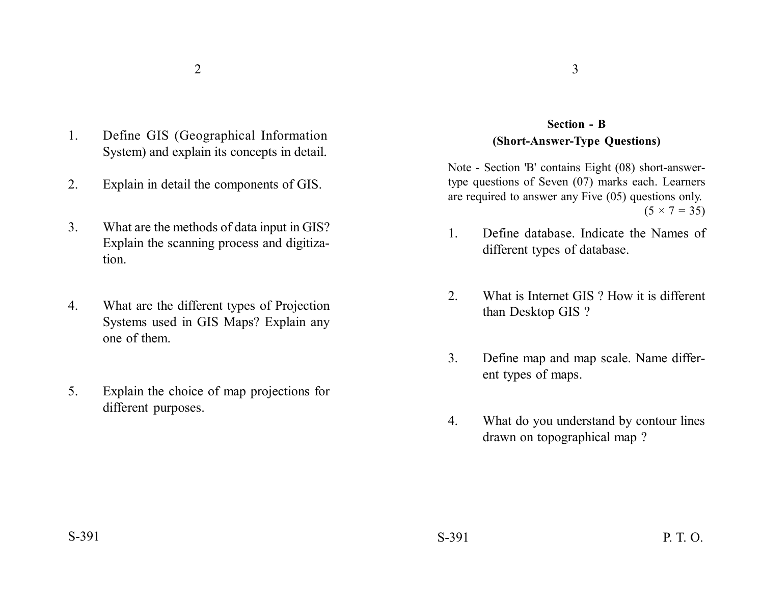- 1. Define GIS (Geographical Information System) and explain its concepts in detail.
- 2. Explain in detail the components of GIS.
- 3. What are the methods of data input in GIS? Explain the scanning process and digitization.
- 4. What are the different types of Projection Systems used in GIS Maps? Explain any one of them.
- 5. Explain the choice of map projections for different purposes.

## **Section - B (Short-Answer-Type Questions)**

Note - Section 'B' contains Eight (08) short-answertype questions of Seven (07) marks each. Learners are required to answer any Five (05) questions only.  $(5 \times 7 = 35)$ 

- 1. Define database. Indicate the Names of different types of database.
- 2. What is Internet GIS ? How it is different than Desktop GIS ?
- 3. Define map and map scale. Name different types of maps.
- 4. What do you understand by contour lines drawn on topographical map ?